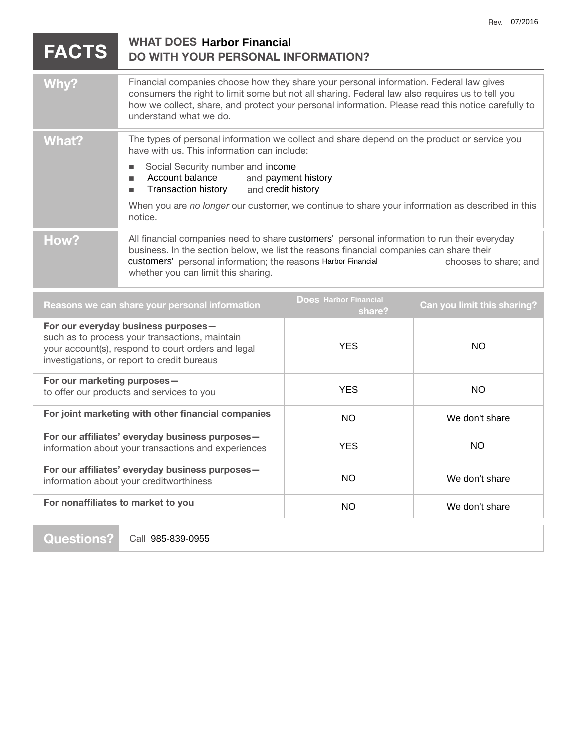|                                                                                                                                                                                            | <b>FACTS</b> | <b>WHAT DOES Harbor Financial</b><br><b>DO WITH YOUR PERSONAL INFORMATION?</b>                                                                                                                                                                                                                                            |                     |     |
|--------------------------------------------------------------------------------------------------------------------------------------------------------------------------------------------|--------------|---------------------------------------------------------------------------------------------------------------------------------------------------------------------------------------------------------------------------------------------------------------------------------------------------------------------------|---------------------|-----|
|                                                                                                                                                                                            | Why?         | Financial companies choose how they share your personal information. Federal law gives<br>consumers the right to limit some but not all sharing. Federal law also requires us to tell you<br>how we collect, share, and protect your personal information. Please read this notice carefully to<br>understand what we do. |                     |     |
|                                                                                                                                                                                            | <b>What?</b> | The types of personal information we collect and share depend on the product or service you<br>have with us. This information can include:                                                                                                                                                                                |                     |     |
|                                                                                                                                                                                            |              | Social Security number and income<br>п<br>Account balance<br>п<br><b>Transaction history</b><br>and credit history<br>п                                                                                                                                                                                                   | and payment history |     |
|                                                                                                                                                                                            |              | When you are no longer our customer, we continue to share your information as described in this<br>notice.                                                                                                                                                                                                                |                     |     |
|                                                                                                                                                                                            | How?         | All financial companies need to share customers' personal information to run their everyday<br>business. In the section below, we list the reasons financial companies can share their<br>customers' personal information; the reasons Harbor Financial<br>chooses to share; and<br>whether you can limit this sharing.   |                     |     |
| <b>Does Harbor Financial</b><br>Reasons we can share your personal information<br>Can you limit this sharing?<br>share?                                                                    |              |                                                                                                                                                                                                                                                                                                                           |                     |     |
| For our everyday business purposes-<br>such as to process your transactions, maintain<br>your account(s), respond to court orders and legal<br>investigations, or report to credit bureaus |              |                                                                                                                                                                                                                                                                                                                           | <b>YES</b>          | NO. |
| For our marketing purposes-<br>to offer our products and services to you                                                                                                                   |              | <b>YES</b>                                                                                                                                                                                                                                                                                                                | <b>NO</b>           |     |
| For joint marketing with other financial companies<br>For our affiliates' everyday business purposes-<br>information about your transactions and experiences                               |              | <b>NO</b>                                                                                                                                                                                                                                                                                                                 | We don't share      |     |
|                                                                                                                                                                                            |              | <b>YES</b>                                                                                                                                                                                                                                                                                                                | NO.                 |     |
| For our affiliates' everyday business purposes-<br>information about your creditworthiness                                                                                                 |              | <b>NO</b>                                                                                                                                                                                                                                                                                                                 | We don't share      |     |
| For nonaffiliates to market to you                                                                                                                                                         |              | <b>NO</b>                                                                                                                                                                                                                                                                                                                 | We don't share      |     |

**Questions?** 

Call 985-839-0955